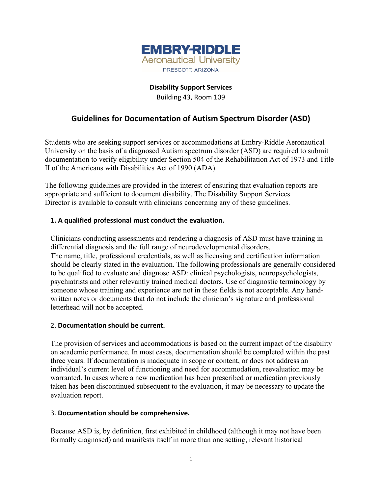

# **Disability Support Services** Building 43, Room 109

# **Guidelines for Documentation of Autism Spectrum Disorder (ASD)**

Students who are seeking support services or accommodations at Embry-Riddle Aeronautical University on the basis of a diagnosed Autism spectrum disorder (ASD) are required to submit documentation to verify eligibility under Section 504 of the Rehabilitation Act of 1973 and Title II of the Americans with Disabilities Act of 1990 (ADA).

The following guidelines are provided in the interest of ensuring that evaluation reports are appropriate and sufficient to document disability. The Disability Support Services Director is available to consult with clinicians concerning any of these guidelines.

## **1. A qualified professional must conduct the evaluation.**

Clinicians conducting assessments and rendering a diagnosis of ASD must have training in differential diagnosis and the full range of neurodevelopmental disorders. The name, title, professional credentials, as well as licensing and certification information should be clearly stated in the evaluation. The following professionals are generally considered to be qualified to evaluate and diagnose ASD: clinical psychologists, neuropsychologists, psychiatrists and other relevantly trained medical doctors. Use of diagnostic terminology by someone whose training and experience are not in these fields is not acceptable. Any handwritten notes or documents that do not include the clinician's signature and professional letterhead will not be accepted.

#### 2. **Documentation should be current.**

The provision of services and accommodations is based on the current impact of the disability on academic performance. In most cases, documentation should be completed within the past three years. If documentation is inadequate in scope or content, or does not address an individual's current level of functioning and need for accommodation, reevaluation may be warranted. In cases where a new medication has been prescribed or medication previously taken has been discontinued subsequent to the evaluation, it may be necessary to update the evaluation report.

#### 3. **Documentation should be comprehensive.**

Because ASD is, by definition, first exhibited in childhood (although it may not have been formally diagnosed) and manifests itself in more than one setting, relevant historical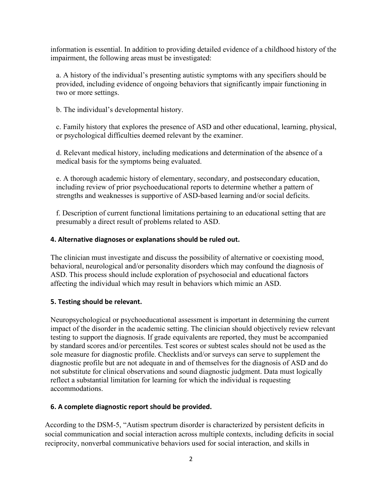information is essential. In addition to providing detailed evidence of a childhood history of the impairment, the following areas must be investigated:

a. A history of the individual's presenting autistic symptoms with any specifiers should be provided, including evidence of ongoing behaviors that significantly impair functioning in two or more settings.

b. The individual's developmental history.

c. Family history that explores the presence of ASD and other educational, learning, physical, or psychological difficulties deemed relevant by the examiner.

d. Relevant medical history, including medications and determination of the absence of a medical basis for the symptoms being evaluated.

e. A thorough academic history of elementary, secondary, and postsecondary education, including review of prior psychoeducational reports to determine whether a pattern of strengths and weaknesses is supportive of ASD-based learning and/or social deficits.

f. Description of current functional limitations pertaining to an educational setting that are presumably a direct result of problems related to ASD.

## **4. Alternative diagnoses or explanations should be ruled out.**

The clinician must investigate and discuss the possibility of alternative or coexisting mood, behavioral, neurological and/or personality disorders which may confound the diagnosis of ASD. This process should include exploration of psychosocial and educational factors affecting the individual which may result in behaviors which mimic an ASD.

#### **5. Testing should be relevant.**

Neuropsychological or psychoeducational assessment is important in determining the current impact of the disorder in the academic setting. The clinician should objectively review relevant testing to support the diagnosis. If grade equivalents are reported, they must be accompanied by standard scores and/or percentiles. Test scores or subtest scales should not be used as the sole measure for diagnostic profile. Checklists and/or surveys can serve to supplement the diagnostic profile but are not adequate in and of themselves for the diagnosis of ASD and do not substitute for clinical observations and sound diagnostic judgment. Data must logically reflect a substantial limitation for learning for which the individual is requesting accommodations.

# **6. A complete diagnostic report should be provided.**

According to the DSM-5, "Autism spectrum disorder is characterized by persistent deficits in social communication and social interaction across multiple contexts, including deficits in social reciprocity, nonverbal communicative behaviors used for social interaction, and skills in